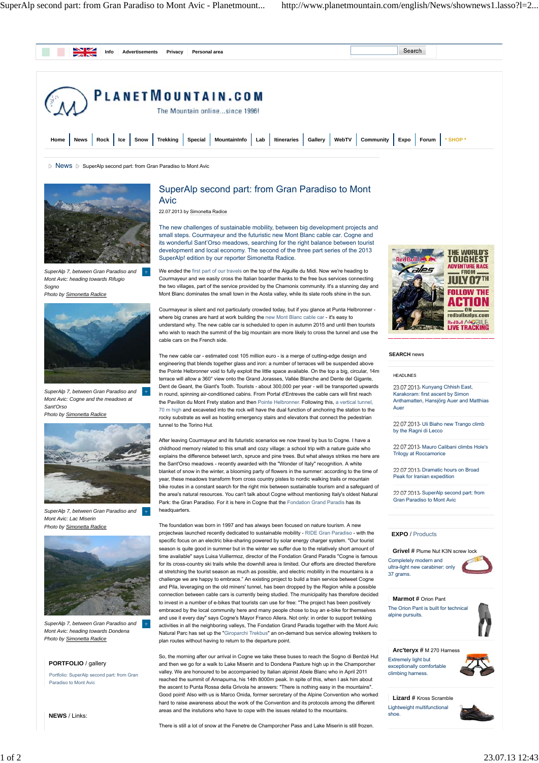